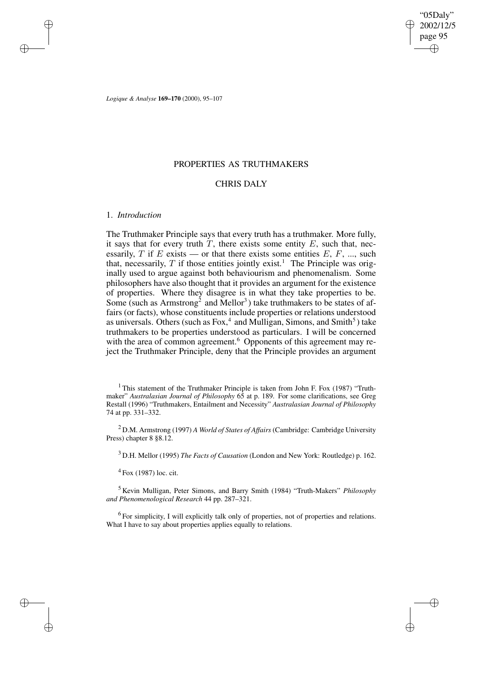✐

✐

*Logique & Analyse* **169–170** (2000), 95–107

# PROPERTIES AS TRUTHMAKERS

# CHRIS DALY

### 1. *Introduction*

✐

✐

✐

✐

The Truthmaker Principle says that every truth has a truthmaker. More fully, it says that for every truth  $T$ , there exists some entity  $E$ , such that, necessarily, T if E exists — or that there exists some entities  $E, F, \dots$ , such that, necessarily,  $T$  if those entities jointly exist.<sup>1</sup> The Principle was originally used to argue against both behaviourism and phenomenalism. Some philosophers have also thought that it provides an argument for the existence of properties. Where they disagree is in what they take properties to be. Some (such as Armstrong<sup>2</sup> and Mellor<sup>3</sup>) take truthmakers to be states of affairs (or facts), whose constituents include properties or relations understood as universals. Others (such as  $Fox<sup>4</sup>$  and Mulligan, Simons, and Smith<sup>5</sup>) take truthmakers to be properties understood as particulars. I will be concerned with the area of common agreement.<sup>6</sup> Opponents of this agreement may reject the Truthmaker Principle, deny that the Principle provides an argument

<sup>2</sup> D.M. Armstrong (1997) *A World of States of Affairs* (Cambridge: Cambridge University Press) chapter 8 §8.12.

<sup>3</sup> D.H. Mellor (1995) *The Facts of Causation* (London and New York: Routledge) p. 162.

 $4$  Fox (1987) loc. cit.

<sup>5</sup> Kevin Mulligan, Peter Simons, and Barry Smith (1984) "Truth-Makers" *Philosophy and Phenomenological Research* 44 pp. 287–321.

<sup>6</sup> For simplicity, I will explicitly talk only of properties, not of properties and relations. What I have to say about properties applies equally to relations.

<sup>&</sup>lt;sup>1</sup> This statement of the Truthmaker Principle is taken from John F. Fox (1987) "Truthmaker" *Australasian Journal of Philosophy* 65 at p. 189. For some clarifications, see Greg Restall (1996) "Truthmakers, Entailment and Necessity" *Australasian Journal of Philosophy* 74 at pp. 331–332.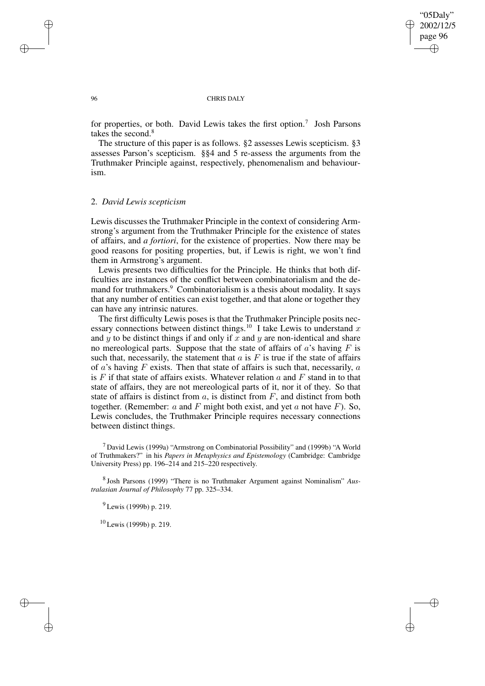✐

✐

#### 96 CHRIS DALY

for properties, or both. David Lewis takes the first option.<sup>7</sup> Josh Parsons takes the second.<sup>8</sup>

The structure of this paper is as follows. §2 assesses Lewis scepticism. §3 assesses Parson's scepticism. §§4 and 5 re-assess the arguments from the Truthmaker Principle against, respectively, phenomenalism and behaviourism.

# 2. *David Lewis scepticism*

Lewis discusses the Truthmaker Principle in the context of considering Armstrong's argument from the Truthmaker Principle for the existence of states of affairs, and *a fortiori*, for the existence of properties. Now there may be good reasons for positing properties, but, if Lewis is right, we won't find them in Armstrong's argument.

Lewis presents two difficulties for the Principle. He thinks that both difficulties are instances of the conflict between combinatorialism and the demand for truthmakers.<sup>9</sup> Combinatorialism is a thesis about modality. It says that any number of entities can exist together, and that alone or together they can have any intrinsic natures.

The first difficulty Lewis poses is that the Truthmaker Principle posits necessary connections between distinct things.<sup>10</sup> I take Lewis to understand x and y to be distinct things if and only if x and y are non-identical and share no mereological parts. Suppose that the state of affairs of  $a$ 's having  $F$  is such that, necessarily, the statement that  $\alpha$  is  $F$  is true if the state of affairs of  $a$ 's having F exists. Then that state of affairs is such that, necessarily,  $a$ is  $F$  if that state of affairs exists. Whatever relation  $a$  and  $F$  stand in to that state of affairs, they are not mereological parts of it, nor it of they. So that state of affairs is distinct from  $a$ , is distinct from  $F$ , and distinct from both together. (Remember:  $a$  and  $F$  might both exist, and yet  $a$  not have  $F$ ). So, Lewis concludes, the Truthmaker Principle requires necessary connections between distinct things.

<sup>7</sup> David Lewis (1999a) "Armstrong on Combinatorial Possibility" and (1999b) "A World of Truthmakers?" in his *Papers in Metaphysics and Epistemology* (Cambridge: Cambridge University Press) pp. 196–214 and 215–220 respectively.

8 Josh Parsons (1999) "There is no Truthmaker Argument against Nominalism" *Australasian Journal of Philosophy* 77 pp. 325–334.

<sup>9</sup> Lewis (1999b) p. 219.

<sup>10</sup> Lewis (1999b) p. 219.

✐

✐

✐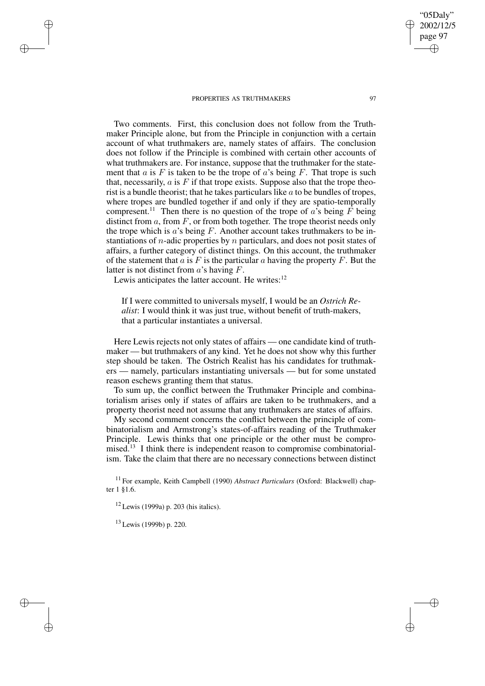Two comments. First, this conclusion does not follow from the Truthmaker Principle alone, but from the Principle in conjunction with a certain account of what truthmakers are, namely states of affairs. The conclusion does not follow if the Principle is combined with certain other accounts of what truthmakers are. For instance, suppose that the truthmaker for the statement that  $a$  is  $F$  is taken to be the trope of  $a$ 's being  $F$ . That trope is such that, necessarily,  $\alpha$  is  $F$  if that trope exists. Suppose also that the trope theorist is a bundle theorist; that he takes particulars like  $a$  to be bundles of tropes, where tropes are bundled together if and only if they are spatio-temporally compresent.<sup>11</sup> Then there is no question of the trope of  $a$ 's being  $\overline{F}$  being distinct from  $a$ , from  $F$ , or from both together. The trope theorist needs only the trope which is a's being  $F$ . Another account takes truthmakers to be instantiations of *n*-adic properties by *n* particulars, and does not posit states of affairs, a further category of distinct things. On this account, the truthmaker of the statement that a is F is the particular a having the property F. But the latter is not distinct from  $a$ 's having  $F$ .

Lewis anticipates the latter account. He writes: $12$ 

If I were committed to universals myself, I would be an *Ostrich Realist*: I would think it was just true, without benefit of truth-makers, that a particular instantiates a universal.

Here Lewis rejects not only states of affairs — one candidate kind of truthmaker — but truthmakers of any kind. Yet he does not show why this further step should be taken. The Ostrich Realist has his candidates for truthmakers — namely, particulars instantiating universals — but for some unstated reason eschews granting them that status.

To sum up, the conflict between the Truthmaker Principle and combinatorialism arises only if states of affairs are taken to be truthmakers, and a property theorist need not assume that any truthmakers are states of affairs.

My second comment concerns the conflict between the principle of combinatorialism and Armstrong's states-of-affairs reading of the Truthmaker Principle. Lewis thinks that one principle or the other must be compromised.<sup>13</sup> I think there is independent reason to compromise combinatorialism. Take the claim that there are no necessary connections between distinct

<sup>11</sup> For example, Keith Campbell (1990) *Abstract Particulars* (Oxford: Blackwell) chapter 1 §1.6.

 $12$  Lewis (1999a) p. 203 (his italics).

<sup>13</sup> Lewis (1999b) p. 220.

✐

✐

✐

✐

"05Daly" 2002/12/5 page 97

✐

✐

✐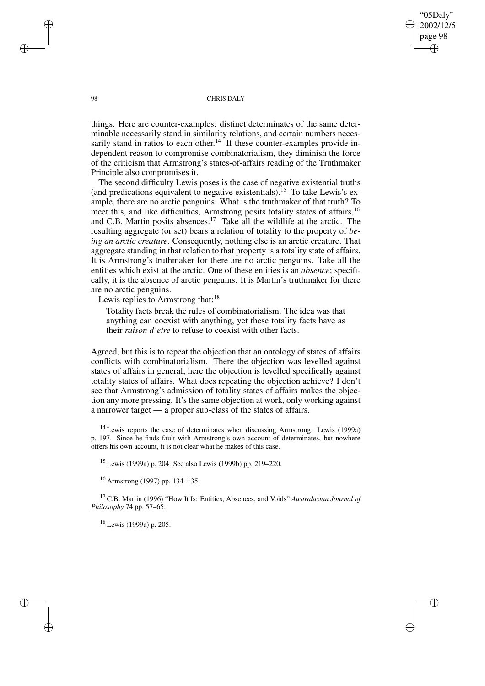"05Daly" 2002/12/5 page 98 ✐ ✐

✐

✐

#### 98 CHRIS DALY

things. Here are counter-examples: distinct determinates of the same determinable necessarily stand in similarity relations, and certain numbers necessarily stand in ratios to each other.<sup>14</sup> If these counter-examples provide independent reason to compromise combinatorialism, they diminish the force of the criticism that Armstrong's states-of-affairs reading of the Truthmaker Principle also compromises it.

The second difficulty Lewis poses is the case of negative existential truths (and predications equivalent to negative existentials).<sup>15</sup> To take Lewis's example, there are no arctic penguins. What is the truthmaker of that truth? To meet this, and like difficulties, Armstrong posits totality states of affairs,<sup>16</sup> and C.B. Martin posits absences.<sup>17</sup> Take all the wildlife at the arctic. The resulting aggregate (or set) bears a relation of totality to the property of *being an arctic creature*. Consequently, nothing else is an arctic creature. That aggregate standing in that relation to that property is a totality state of affairs. It is Armstrong's truthmaker for there are no arctic penguins. Take all the entities which exist at the arctic. One of these entities is an *absence*; specifically, it is the absence of arctic penguins. It is Martin's truthmaker for there are no arctic penguins.

Lewis replies to Armstrong that: $18$ 

Totality facts break the rules of combinatorialism. The idea was that anything can coexist with anything, yet these totality facts have as their *raison d'etre* to refuse to coexist with other facts.

Agreed, but this is to repeat the objection that an ontology of states of affairs conflicts with combinatorialism. There the objection was levelled against states of affairs in general; here the objection is levelled specifically against totality states of affairs. What does repeating the objection achieve? I don't see that Armstrong's admission of totality states of affairs makes the objection any more pressing. It's the same objection at work, only working against a narrower target — a proper sub-class of the states of affairs.

 $14$  Lewis reports the case of determinates when discussing Armstrong: Lewis (1999a) p. 197. Since he finds fault with Armstrong's own account of determinates, but nowhere offers his own account, it is not clear what he makes of this case.

<sup>15</sup> Lewis (1999a) p. 204. See also Lewis (1999b) pp. 219–220.

<sup>16</sup> Armstrong (1997) pp. 134–135.

<sup>17</sup> C.B. Martin (1996) "How It Is: Entities, Absences, and Voids" *Australasian Journal of Philosophy* 74 pp. 57–65.

<sup>18</sup> Lewis (1999a) p. 205.

✐

✐

✐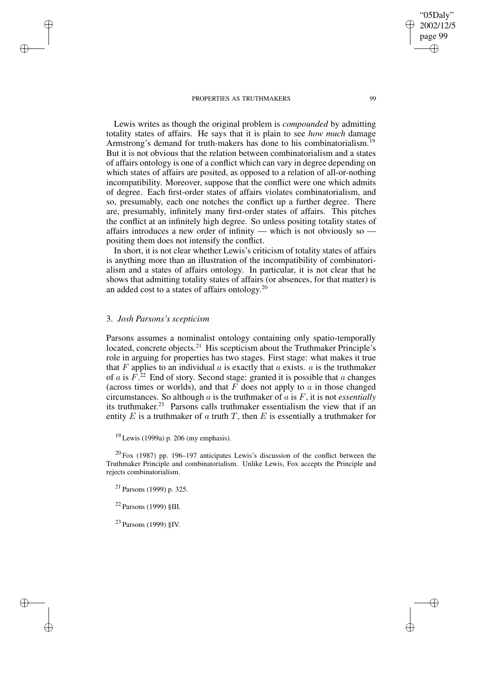Lewis writes as though the original problem is *compounded* by admitting totality states of affairs. He says that it is plain to see *how much* damage Armstrong's demand for truth-makers has done to his combinatorialism.<sup>19</sup> But it is not obvious that the relation between combinatorialism and a states of affairs ontology is one of a conflict which can vary in degree depending on which states of affairs are posited, as opposed to a relation of all-or-nothing incompatibility. Moreover, suppose that the conflict were one which admits of degree. Each first-order states of affairs violates combinatorialism, and so, presumably, each one notches the conflict up a further degree. There are, presumably, infinitely many first-order states of affairs. This pitches the conflict at an infinitely high degree. So unless positing totality states of affairs introduces a new order of infinity — which is not obviously so positing them does not intensify the conflict.

In short, it is not clear whether Lewis's criticism of totality states of affairs is anything more than an illustration of the incompatibility of combinatorialism and a states of affairs ontology. In particular, it is not clear that he shows that admitting totality states of affairs (or absences, for that matter) is an added cost to a states of affairs ontology. 20

### 3. *Josh Parsons's scepticism*

✐

✐

✐

✐

Parsons assumes a nominalist ontology containing only spatio-temporally located, concrete objects.<sup>21</sup> His scepticism about the Truthmaker Principle's role in arguing for properties has two stages. First stage: what makes it true that  $F$  applies to an individual  $a$  is exactly that  $a$  exists.  $a$  is the truthmaker of a is  $F<sup>22</sup>$ . End of story. Second stage: granted it is possible that a changes (across times or worlds), and that  $F$  does not apply to  $a$  in those changed circumstances. So although a is the truthmaker of a is F, it is not *essentially* its truthmaker. <sup>23</sup> Parsons calls truthmaker essentialism the view that if an entity E is a truthmaker of a truth T, then E is essentially a truthmaker for

 $19$  Lewis (1999a) p. 206 (my emphasis).

<sup>20</sup> Fox (1987) pp. 196–197 anticipates Lewis's discussion of the conflict between the Truthmaker Principle and combinatorialism. Unlike Lewis, Fox accepts the Principle and rejects combinatorialism.

<sup>21</sup> Parsons (1999) p. 325.

<sup>22</sup> Parsons (1999) §III.

<sup>23</sup> Parsons (1999) §IV.

"05Daly" 2002/12/5 page 99

✐

✐

✐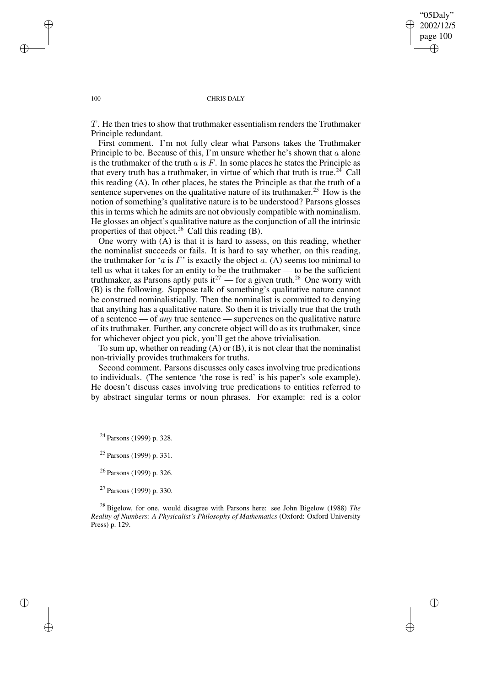✐

✐

#### 100 CHRIS DALY

T. He then tries to show that truthmaker essentialism renders the Truthmaker Principle redundant.

First comment. I'm not fully clear what Parsons takes the Truthmaker Principle to be. Because of this, I'm unsure whether he's shown that a alone is the truthmaker of the truth  $a$  is  $F$ . In some places he states the Principle as that every truth has a truthmaker, in virtue of which that truth is true.<sup>24</sup> Call this reading (A). In other places, he states the Principle as that the truth of a sentence supervenes on the qualitative nature of its truthmaker.<sup>25</sup> How is the notion of something's qualitative nature is to be understood? Parsons glosses this in terms which he admits are not obviously compatible with nominalism. He glosses an object's qualitative nature as the conjunction of all the intrinsic properties of that object.<sup>26</sup> Call this reading  $(B)$ .

One worry with (A) is that it is hard to assess, on this reading, whether the nominalist succeeds or fails. It is hard to say whether, on this reading, the truthmaker for 'a is  $F'$  is exactly the object  $a$ . (A) seems too minimal to tell us what it takes for an entity to be the truthmaker — to be the sufficient truthmaker, as Parsons aptly puts it<sup>27</sup> — for a given truth.<sup>28</sup> One worry with (B) is the following. Suppose talk of something's qualitative nature cannot be construed nominalistically. Then the nominalist is committed to denying that anything has a qualitative nature. So then it is trivially true that the truth of a sentence — of *any* true sentence — supervenes on the qualitative nature of its truthmaker. Further, any concrete object will do as its truthmaker, since for whichever object you pick, you'll get the above trivialisation.

To sum up, whether on reading  $(A)$  or  $(B)$ , it is not clear that the nominalist non-trivially provides truthmakers for truths.

Second comment. Parsons discusses only cases involving true predications to individuals. (The sentence 'the rose is red' is his paper's sole example). He doesn't discuss cases involving true predications to entities referred to by abstract singular terms or noun phrases. For example: red is a color

 $^{24}$  Parsons (1999) p. 328.

 $25$  Parsons (1999) p. 331.

 $26$  Parsons (1999) p. 326.

 $27$  Parsons (1999) p. 330.

<sup>28</sup> Bigelow, for one, would disagree with Parsons here: see John Bigelow (1988) *The Reality of Numbers: A Physicalist's Philosophy of Mathematics* (Oxford: Oxford University Press) p. 129.

✐

✐

✐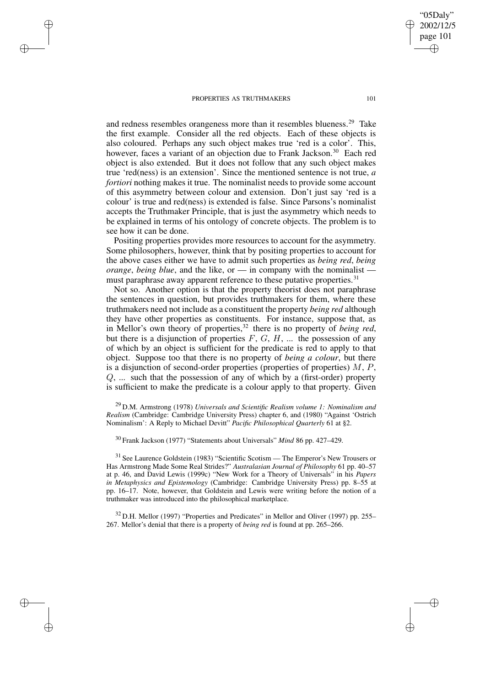✐

✐

✐

✐

and redness resembles orangeness more than it resembles blueness.<sup>29</sup> Take the first example. Consider all the red objects. Each of these objects is also coloured. Perhaps any such object makes true 'red is a color'. This, however, faces a variant of an objection due to Frank Jackson.<sup>30</sup> Each red object is also extended. But it does not follow that any such object makes true 'red(ness) is an extension'. Since the mentioned sentence is not true, *a fortiori* nothing makes it true. The nominalist needs to provide some account of this asymmetry between colour and extension. Don't just say 'red is a colour' is true and red(ness) is extended is false. Since Parsons's nominalist accepts the Truthmaker Principle, that is just the asymmetry which needs to be explained in terms of his ontology of concrete objects. The problem is to see how it can be done.

Positing properties provides more resources to account for the asymmetry. Some philosophers, however, think that by positing properties to account for the above cases either we have to admit such properties as *being red*, *being orange*, *being blue*, and the like, or — in company with the nominalist must paraphrase away apparent reference to these putative properties.<sup>31</sup>

Not so. Another option is that the property theorist does not paraphrase the sentences in question, but provides truthmakers for them, where these truthmakers need not include as a constituent the property *being red* although they have other properties as constituents. For instance, suppose that, as in Mellor's own theory of properties,<sup>32</sup> there is no property of *being red*, but there is a disjunction of properties  $F, G, H, \dots$  the possession of any of which by an object is sufficient for the predicate is red to apply to that object. Suppose too that there is no property of *being a colour*, but there is a disjunction of second-order properties (properties of properties)  $M$ ,  $P$ , Q, ... such that the possession of any of which by a (first-order) property is sufficient to make the predicate is a colour apply to that property. Given

<sup>29</sup> D.M. Armstrong (1978) *Universals and Scientific Realism volume 1: Nominalism and Realism* (Cambridge: Cambridge University Press) chapter 6, and (1980) "Against 'Ostrich Nominalism': A Reply to Michael Devitt" *Pacific Philosophical Quarterly* 61 at §2.

<sup>30</sup> Frank Jackson (1977) "Statements about Universals" *Mind* 86 pp. 427–429.

<sup>31</sup> See Laurence Goldstein (1983) "Scientific Scotism — The Emperor's New Trousers or Has Armstrong Made Some Real Strides?" *Australasian Journal of Philosophy* 61 pp. 40–57 at p. 46, and David Lewis (1999c) "New Work for a Theory of Universals" in his *Papers in Metaphysics and Epistemology* (Cambridge: Cambridge University Press) pp. 8–55 at pp. 16–17. Note, however, that Goldstein and Lewis were writing before the notion of a truthmaker was introduced into the philosophical marketplace.

<sup>32</sup> D.H. Mellor (1997) "Properties and Predicates" in Mellor and Oliver (1997) pp. 255– 267. Mellor's denial that there is a property of *being red* is found at pp. 265–266.

"05Daly" 2002/12/5 page 101

✐

✐

✐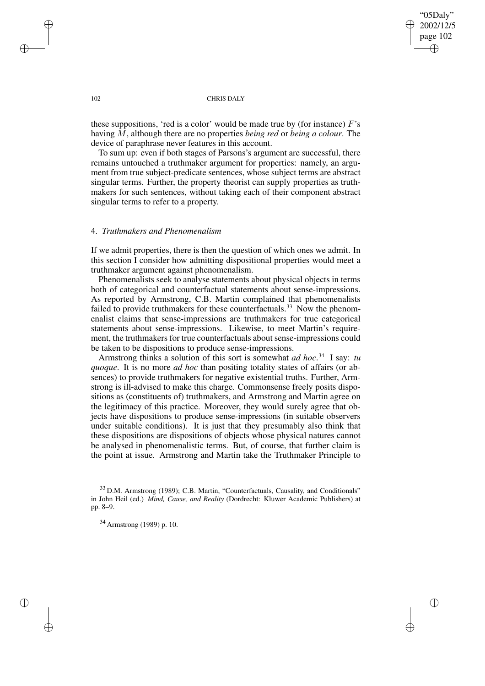"05Daly" 2002/12/5 page 102 ✐ ✐

✐

✐

#### 102 CHRIS DALY

these suppositions, 'red is a color' would be made true by (for instance)  $F$ 's having M, although there are no properties *being red* or *being a colour*. The device of paraphrase never features in this account.

To sum up: even if both stages of Parsons's argument are successful, there remains untouched a truthmaker argument for properties: namely, an argument from true subject-predicate sentences, whose subject terms are abstract singular terms. Further, the property theorist can supply properties as truthmakers for such sentences, without taking each of their component abstract singular terms to refer to a property.

# 4. *Truthmakers and Phenomenalism*

If we admit properties, there is then the question of which ones we admit. In this section I consider how admitting dispositional properties would meet a truthmaker argument against phenomenalism.

Phenomenalists seek to analyse statements about physical objects in terms both of categorical and counterfactual statements about sense-impressions. As reported by Armstrong, C.B. Martin complained that phenomenalists failed to provide truthmakers for these counterfactuals.<sup>33</sup> Now the phenomenalist claims that sense-impressions are truthmakers for true categorical statements about sense-impressions. Likewise, to meet Martin's requirement, the truthmakers for true counterfactuals about sense-impressions could be taken to be dispositions to produce sense-impressions.

Armstrong thinks a solution of this sort is somewhat *ad hoc*. <sup>34</sup> I say: *tu quoque*. It is no more *ad hoc* than positing totality states of affairs (or absences) to provide truthmakers for negative existential truths. Further, Armstrong is ill-advised to make this charge. Commonsense freely posits dispositions as (constituents of) truthmakers, and Armstrong and Martin agree on the legitimacy of this practice. Moreover, they would surely agree that objects have dispositions to produce sense-impressions (in suitable observers under suitable conditions). It is just that they presumably also think that these dispositions are dispositions of objects whose physical natures cannot be analysed in phenomenalistic terms. But, of course, that further claim is the point at issue. Armstrong and Martin take the Truthmaker Principle to

✐

✐

✐

<sup>&</sup>lt;sup>33</sup> D.M. Armstrong (1989); C.B. Martin, "Counterfactuals, Causality, and Conditionals" in John Heil (ed.) *Mind, Cause, and Reality* (Dordrecht: Kluwer Academic Publishers) at pp. 8–9.

<sup>34</sup> Armstrong (1989) p. 10.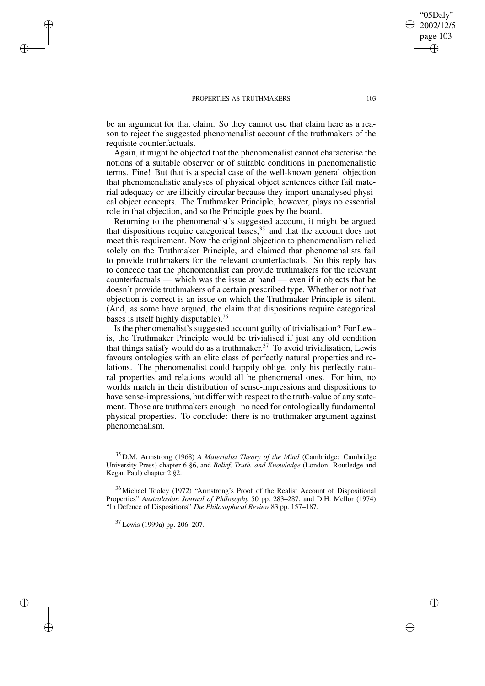✐

✐

✐

✐

be an argument for that claim. So they cannot use that claim here as a reason to reject the suggested phenomenalist account of the truthmakers of the requisite counterfactuals.

Again, it might be objected that the phenomenalist cannot characterise the notions of a suitable observer or of suitable conditions in phenomenalistic terms. Fine! But that is a special case of the well-known general objection that phenomenalistic analyses of physical object sentences either fail material adequacy or are illicitly circular because they import unanalysed physical object concepts. The Truthmaker Principle, however, plays no essential role in that objection, and so the Principle goes by the board.

Returning to the phenomenalist's suggested account, it might be argued that dispositions require categorical bases, $35$  and that the account does not meet this requirement. Now the original objection to phenomenalism relied solely on the Truthmaker Principle, and claimed that phenomenalists fail to provide truthmakers for the relevant counterfactuals. So this reply has to concede that the phenomenalist can provide truthmakers for the relevant counterfactuals — which was the issue at hand — even if it objects that he doesn't provide truthmakers of a certain prescribed type. Whether or not that objection is correct is an issue on which the Truthmaker Principle is silent. (And, as some have argued, the claim that dispositions require categorical bases is itself highly disputable).<sup>36</sup>

Is the phenomenalist's suggested account guilty of trivialisation? For Lewis, the Truthmaker Principle would be trivialised if just any old condition that things satisfy would do as a truthmaker.<sup>37</sup> To avoid trivialisation, Lewis favours ontologies with an elite class of perfectly natural properties and relations. The phenomenalist could happily oblige, only his perfectly natural properties and relations would all be phenomenal ones. For him, no worlds match in their distribution of sense-impressions and dispositions to have sense-impressions, but differ with respect to the truth-value of any statement. Those are truthmakers enough: no need for ontologically fundamental physical properties. To conclude: there is no truthmaker argument against phenomenalism.

<sup>36</sup> Michael Tooley (1972) "Armstrong's Proof of the Realist Account of Dispositional Properties" *Australasian Journal of Philosophy* 50 pp. 283–287, and D.H. Mellor (1974) "In Defence of Dispositions" *The Philosophical Review* 83 pp. 157–187.

<sup>37</sup> Lewis (1999a) pp. 206–207.

"05Daly" 2002/12/5 page 103

✐

✐

✐

<sup>35</sup> D.M. Armstrong (1968) *A Materialist Theory of the Mind* (Cambridge: Cambridge University Press) chapter 6 §6, and *Belief, Truth, and Knowledge* (London: Routledge and Kegan Paul) chapter  $2 \text{ } \$2$ .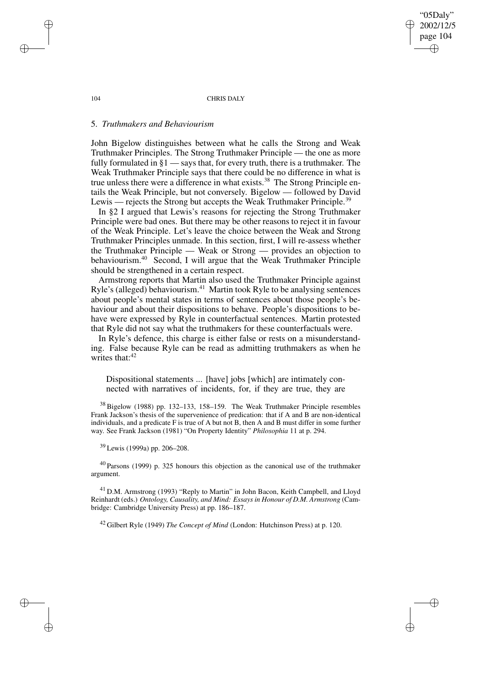"05Daly" 2002/12/5 page 104 ✐ ✐

✐

✐

104 CHRIS DALY

# 5. *Truthmakers and Behaviourism*

John Bigelow distinguishes between what he calls the Strong and Weak Truthmaker Principles. The Strong Truthmaker Principle — the one as more fully formulated in  $\S1$  — says that, for every truth, there is a truthmaker. The Weak Truthmaker Principle says that there could be no difference in what is true unless there were a difference in what exists.<sup>38</sup> The Strong Principle entails the Weak Principle, but not conversely. Bigelow — followed by David Lewis — rejects the Strong but accepts the Weak Truthmaker Principle.<sup>39</sup>

In §2 I argued that Lewis's reasons for rejecting the Strong Truthmaker Principle were bad ones. But there may be other reasons to reject it in favour of the Weak Principle. Let's leave the choice between the Weak and Strong Truthmaker Principles unmade. In this section, first, I will re-assess whether the Truthmaker Principle — Weak or Strong — provides an objection to behaviourism.<sup>40</sup> Second, I will argue that the Weak Truthmaker Principle should be strengthened in a certain respect.

Armstrong reports that Martin also used the Truthmaker Principle against Ryle's (alleged) behaviourism.<sup>41</sup> Martin took Ryle to be analysing sentences about people's mental states in terms of sentences about those people's behaviour and about their dispositions to behave. People's dispositions to behave were expressed by Ryle in counterfactual sentences. Martin protested that Ryle did not say what the truthmakers for these counterfactuals were.

In Ryle's defence, this charge is either false or rests on a misunderstanding. False because Ryle can be read as admitting truthmakers as when he writes that:<sup>42</sup>

Dispositional statements ... [have] jobs [which] are intimately connected with narratives of incidents, for, if they are true, they are

<sup>38</sup> Bigelow (1988) pp. 132–133, 158–159. The Weak Truthmaker Principle resembles Frank Jackson's thesis of the supervenience of predication: that if A and B are non-identical individuals, and a predicate F is true of A but not B, then A and B must differ in some further way. See Frank Jackson (1981) "On Property Identity" *Philosophia* 11 at p. 294.

<sup>39</sup> Lewis (1999a) pp. 206–208.

<sup>40</sup> Parsons (1999) p. 325 honours this objection as the canonical use of the truthmaker argument.

<sup>41</sup> D.M. Armstrong (1993) "Reply to Martin" in John Bacon, Keith Campbell, and Lloyd Reinhardt (eds.) *Ontology, Causality, and Mind: Essays in Honour of D.M. Armstrong* (Cambridge: Cambridge University Press) at pp. 186–187.

<sup>42</sup> Gilbert Ryle (1949) *The Concept of Mind* (London: Hutchinson Press) at p. 120.

✐

✐

✐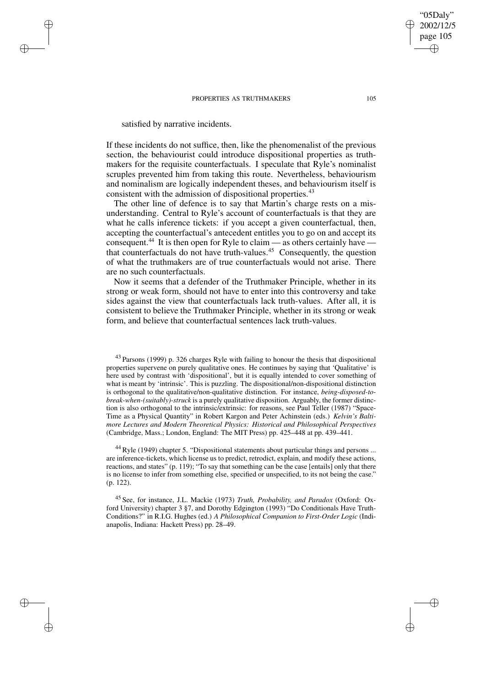## satisfied by narrative incidents.

✐

✐

✐

✐

If these incidents do not suffice, then, like the phenomenalist of the previous section, the behaviourist could introduce dispositional properties as truthmakers for the requisite counterfactuals. I speculate that Ryle's nominalist scruples prevented him from taking this route. Nevertheless, behaviourism and nominalism are logically independent theses, and behaviourism itself is consistent with the admission of dispositional properties.<sup>43</sup>

The other line of defence is to say that Martin's charge rests on a misunderstanding. Central to Ryle's account of counterfactuals is that they are what he calls inference tickets: if you accept a given counterfactual, then, accepting the counterfactual's antecedent entitles you to go on and accept its consequent.<sup>44</sup> It is then open for Ryle to claim — as others certainly have that counterfactuals do not have truth-values.<sup>45</sup> Consequently, the question of what the truthmakers are of true counterfactuals would not arise. There are no such counterfactuals.

Now it seems that a defender of the Truthmaker Principle, whether in its strong or weak form, should not have to enter into this controversy and take sides against the view that counterfactuals lack truth-values. After all, it is consistent to believe the Truthmaker Principle, whether in its strong or weak form, and believe that counterfactual sentences lack truth-values.

<sup>44</sup> Ryle (1949) chapter 5. "Dispositional statements about particular things and persons ... are inference-tickets, which license us to predict, retrodict, explain, and modify these actions, reactions, and states" (p. 119); "To say that something can be the case [entails] only that there is no license to infer from something else, specified or unspecified, to its not being the case." (p. 122).

<sup>45</sup> See, for instance, J.L. Mackie (1973) *Truth, Probability, and Paradox* (Oxford: Oxford University) chapter 3 §7, and Dorothy Edgington (1993) "Do Conditionals Have Truth-Conditions?" in R.I.G. Hughes (ed.) *A Philosophical Companion to First-Order Logic* (Indianapolis, Indiana: Hackett Press) pp. 28–49.

"05Daly" 2002/12/5 page 105

✐

✐

✐

<sup>&</sup>lt;sup>43</sup> Parsons (1999) p. 326 charges Ryle with failing to honour the thesis that dispositional properties supervene on purely qualitative ones. He continues by saying that 'Qualitative' is here used by contrast with 'dispositional', but it is equally intended to cover something of what is meant by 'intrinsic'. This is puzzling. The dispositional/non-dispositional distinction is orthogonal to the qualitative/non-qualitative distinction. For instance, *being-disposed-tobreak-when-(suitably)-struck* is a purely qualitative disposition. Arguably, the former distinction is also orthogonal to the intrinsic/extrinsic: for reasons, see Paul Teller (1987) "Space-Time as a Physical Quantity" in Robert Kargon and Peter Achinstein (eds.) *Kelvin's Baltimore Lectures and Modern Theoretical Physics: Historical and Philosophical Perspectives* (Cambridge, Mass.; London, England: The MIT Press) pp. 425–448 at pp. 439–441.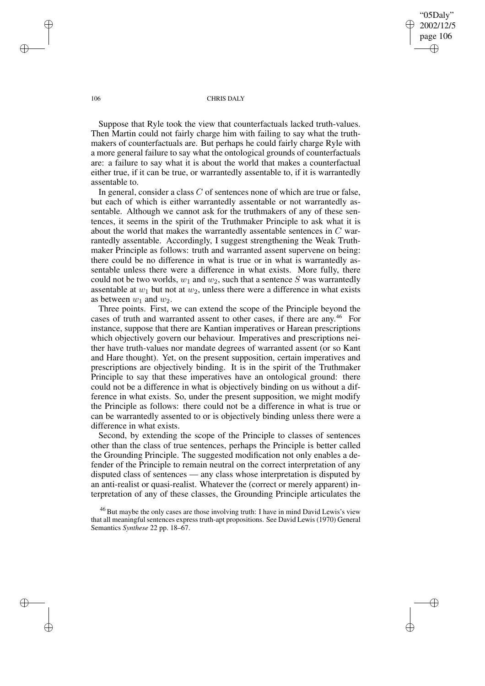"05Daly" 2002/12/5 page 106 ✐ ✐

✐

✐

#### 106 CHRIS DALY

Suppose that Ryle took the view that counterfactuals lacked truth-values. Then Martin could not fairly charge him with failing to say what the truthmakers of counterfactuals are. But perhaps he could fairly charge Ryle with a more general failure to say what the ontological grounds of counterfactuals are: a failure to say what it is about the world that makes a counterfactual either true, if it can be true, or warrantedly assentable to, if it is warrantedly assentable to.

In general, consider a class  $C$  of sentences none of which are true or false, but each of which is either warrantedly assentable or not warrantedly assentable. Although we cannot ask for the truthmakers of any of these sentences, it seems in the spirit of the Truthmaker Principle to ask what it is about the world that makes the warrantedly assentable sentences in C warrantedly assentable. Accordingly, I suggest strengthening the Weak Truthmaker Principle as follows: truth and warranted assent supervene on being: there could be no difference in what is true or in what is warrantedly assentable unless there were a difference in what exists. More fully, there could not be two worlds,  $w_1$  and  $w_2$ , such that a sentence S was warrantedly assentable at  $w_1$  but not at  $w_2$ , unless there were a difference in what exists as between  $w_1$  and  $w_2$ .

Three points. First, we can extend the scope of the Principle beyond the cases of truth and warranted assent to other cases, if there are any. <sup>46</sup> For instance, suppose that there are Kantian imperatives or Harean prescriptions which objectively govern our behaviour. Imperatives and prescriptions neither have truth-values nor mandate degrees of warranted assent (or so Kant and Hare thought). Yet, on the present supposition, certain imperatives and prescriptions are objectively binding. It is in the spirit of the Truthmaker Principle to say that these imperatives have an ontological ground: there could not be a difference in what is objectively binding on us without a difference in what exists. So, under the present supposition, we might modify the Principle as follows: there could not be a difference in what is true or can be warrantedly assented to or is objectively binding unless there were a difference in what exists.

Second, by extending the scope of the Principle to classes of sentences other than the class of true sentences, perhaps the Principle is better called the Grounding Principle. The suggested modification not only enables a defender of the Principle to remain neutral on the correct interpretation of any disputed class of sentences — any class whose interpretation is disputed by an anti-realist or quasi-realist. Whatever the (correct or merely apparent) interpretation of any of these classes, the Grounding Principle articulates the

✐

✐

✐

<sup>&</sup>lt;sup>46</sup> But maybe the only cases are those involving truth: I have in mind David Lewis's view that all meaningful sentences express truth-apt propositions. See David Lewis (1970) General Semantics *Synthese* 22 pp. 18–67.